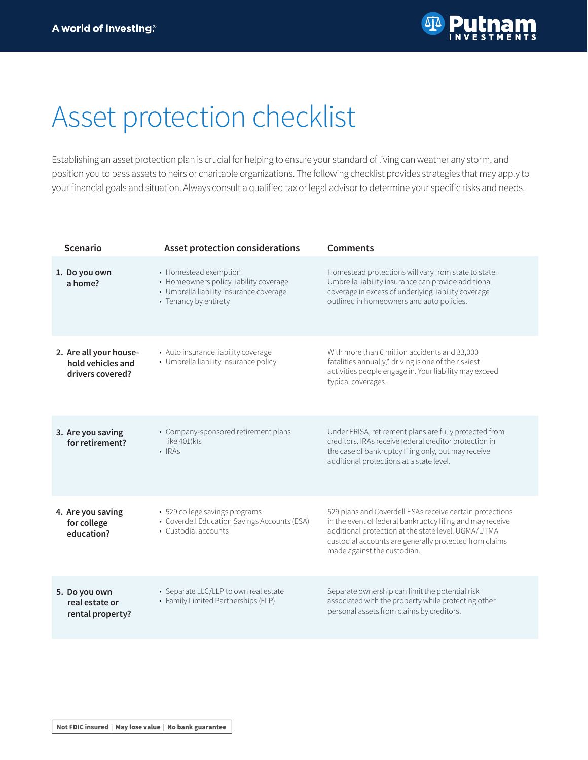

## Asset protection checklist

Establishing an asset protection plan is crucial for helping to ensure your standard of living can weather any storm, and position you to pass assets to heirs or charitable organizations. The following checklist provides strategies that may apply to your financial goals and situation. Always consult a qualified tax or legal advisor to determine your specific risks and needs.

| <b>Scenario</b>                                                 | <b>Asset protection considerations</b>                                                                                              | <b>Comments</b>                                                                                                                                                                                                                                                       |
|-----------------------------------------------------------------|-------------------------------------------------------------------------------------------------------------------------------------|-----------------------------------------------------------------------------------------------------------------------------------------------------------------------------------------------------------------------------------------------------------------------|
| 1. Do you own<br>a home?                                        | • Homestead exemption<br>• Homeowners policy liability coverage<br>• Umbrella liability insurance coverage<br>• Tenancy by entirety | Homestead protections will vary from state to state.<br>Umbrella liability insurance can provide additional<br>coverage in excess of underlying liability coverage<br>outlined in homeowners and auto policies.                                                       |
| 2. Are all your house-<br>hold vehicles and<br>drivers covered? | • Auto insurance liability coverage<br>• Umbrella liability insurance policy                                                        | With more than 6 million accidents and 33,000<br>fatalities annually,* driving is one of the riskiest<br>activities people engage in. Your liability may exceed<br>typical coverages.                                                                                 |
| 3. Are you saving<br>for retirement?                            | • Company-sponsored retirement plans<br>like $401(k)s$<br>$\cdot$ IRAS                                                              | Under ERISA, retirement plans are fully protected from<br>creditors. IRAs receive federal creditor protection in<br>the case of bankruptcy filing only, but may receive<br>additional protections at a state level.                                                   |
| 4. Are you saving<br>for college<br>education?                  | • 529 college savings programs<br>• Coverdell Education Savings Accounts (ESA)<br>• Custodial accounts                              | 529 plans and Coverdell ESAs receive certain protections<br>in the event of federal bankruptcy filing and may receive<br>additional protection at the state level. UGMA/UTMA<br>custodial accounts are generally protected from claims<br>made against the custodian. |
| 5. Do you own<br>real estate or<br>rental property?             | • Separate LLC/LLP to own real estate<br>• Family Limited Partnerships (FLP)                                                        | Separate ownership can limit the potential risk<br>associated with the property while protecting other<br>personal assets from claims by creditors.                                                                                                                   |